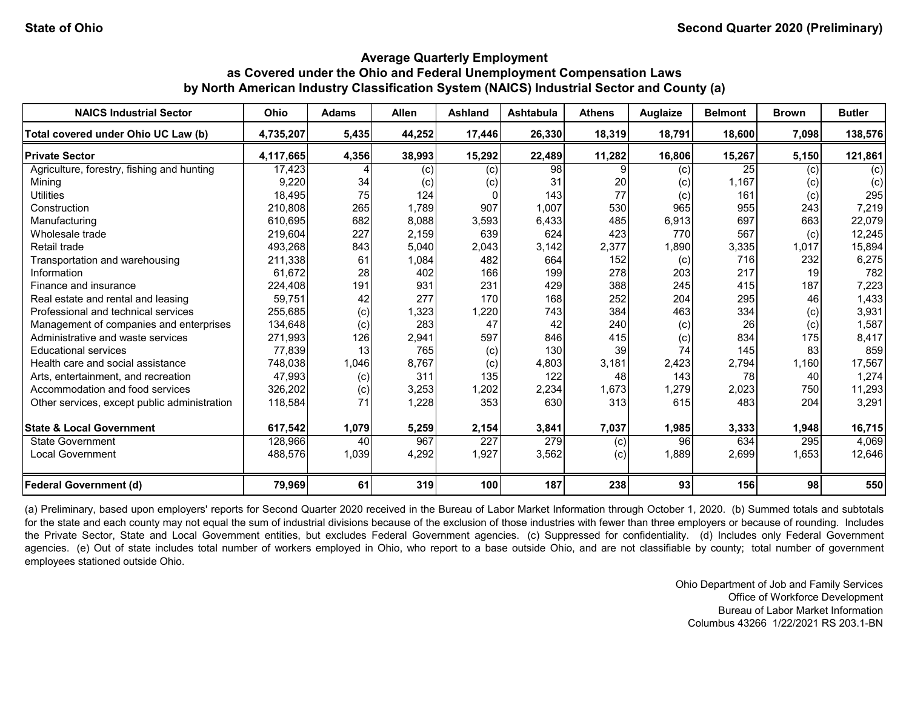| <b>NAICS Industrial Sector</b>               | Ohio      | <b>Adams</b> | <b>Allen</b> | <b>Ashland</b> | <b>Ashtabula</b> | <b>Athens</b> | Auglaize | <b>Belmont</b> | <b>Brown</b> | <b>Butler</b> |
|----------------------------------------------|-----------|--------------|--------------|----------------|------------------|---------------|----------|----------------|--------------|---------------|
| Total covered under Ohio UC Law (b)          | 4,735,207 | 5,435        | 44,252       | 17,446         | 26,330           | 18,319        | 18,791   | 18,600         | 7,098        | 138,576       |
| <b>Private Sector</b>                        | 4,117,665 | 4,356        | 38,993       | 15,292         | 22,489           | 11,282        | 16,806   | 15,267         | 5,150        | 121,861       |
| Agriculture, forestry, fishing and hunting   | 17,423    |              | (c)          | (c)            | 98               | 9             | (c)      | 25             | (c)          | (c)           |
| Mining                                       | 9,220     | 34           | (c)          | (c)            | 31               | 20            | (c)      | 1,167          | (c)          | (c)           |
| <b>Utilities</b>                             | 18,495    | 75           | 124          | $\Omega$       | 143              | 77            | (c)      | 161            | (c)          | 295           |
| Construction                                 | 210,808   | 265          | 1,789        | 907            | 1,007            | 530           | 965      | 955            | 243          | 7,219         |
| Manufacturing                                | 610,695   | 682          | 8,088        | 3,593          | 6,433            | 485           | 6,913    | 697            | 663          | 22,079        |
| Wholesale trade                              | 219,604   | 227          | 2,159        | 639            | 624              | 423           | 770      | 567            | (c)          | 12,245        |
| Retail trade                                 | 493,268   | 843          | 5,040        | 2,043          | 3,142            | 2,377         | 1,890    | 3,335          | 1,017        | 15,894        |
| Transportation and warehousing               | 211,338   | 61           | 1,084        | 482            | 664              | 152           | (c)      | 716            | 232          | 6,275         |
| Information                                  | 61.672    | 28           | 402          | 166            | 199              | 278           | 203      | 217            | 19           | 782           |
| Finance and insurance                        | 224,408   | 191          | 931          | 231            | 429              | 388           | 245      | 415            | 187          | 7,223         |
| Real estate and rental and leasing           | 59.751    | 42           | 277          | 170            | 168              | 252           | 204      | 295            | 46           | 1,433         |
| Professional and technical services          | 255,685   | (c)          | 1,323        | 1,220          | 743              | 384           | 463      | 334            | (c)          | 3,931         |
| Management of companies and enterprises      | 134,648   | (c)          | 283          | 47             | 42               | 240           | (c)      | 26             | (c)          | 1,587         |
| Administrative and waste services            | 271,993   | 126          | 2,941        | 597            | 846              | 415           | (c)      | 834            | 175          | 8,417         |
| <b>Educational services</b>                  | 77,839    | 13           | 765          | (c)            | 130              | 39            | 74       | 145            | 83           | 859           |
| Health care and social assistance            | 748,038   | 1,046        | 8,767        | (c)            | 4,803            | 3,181         | 2,423    | 2,794          | 1,160        | 17,567        |
| Arts, entertainment, and recreation          | 47,993    | (c)          | 311          | 135            | 122              | 48            | 143      | 78             | 40           | 1,274         |
| Accommodation and food services              | 326,202   | (c)          | 3,253        | 1,202          | 2,234            | 1,673         | .279     | 2,023          | 750          | 11,293        |
| Other services, except public administration | 118,584   | 71           | 1,228        | 353            | 630              | 313           | 615      | 483            | 204          | 3,291         |
| <b>State &amp; Local Government</b>          | 617,542   | 1,079        | 5,259        | 2,154          | 3,841            | 7,037         | 1,985    | 3,333          | 1,948        | 16,715        |
| <b>State Government</b>                      | 128,966   | 40           | 967          | 227            | 279              | (c)           | 96       | 634            | 295          | 4,069         |
| <b>Local Government</b>                      | 488,576   | 1,039        | 4,292        | 1,927          | 3,562            | (c)           | 1,889    | 2,699          | 1,653        | 12,646        |
| <b>Federal Government (d)</b>                | 79,969    | 61           | 319          | 100            | 187              | 238           | 93       | 156            | 98           | 550           |

(a) Preliminary, based upon employers' reports for Second Quarter 2020 received in the Bureau of Labor Market Information through October 1, 2020. (b) Summed totals and subtotals for the state and each county may not equal the sum of industrial divisions because of the exclusion of those industries with fewer than three employers or because of rounding. Includes the Private Sector, State and Local Government entities, but excludes Federal Government agencies. (c) Suppressed for confidentiality. (d) Includes only Federal Government agencies. (e) Out of state includes total number of workers employed in Ohio, who report to a base outside Ohio, and are not classifiable by county; total number of government employees stationed outside Ohio.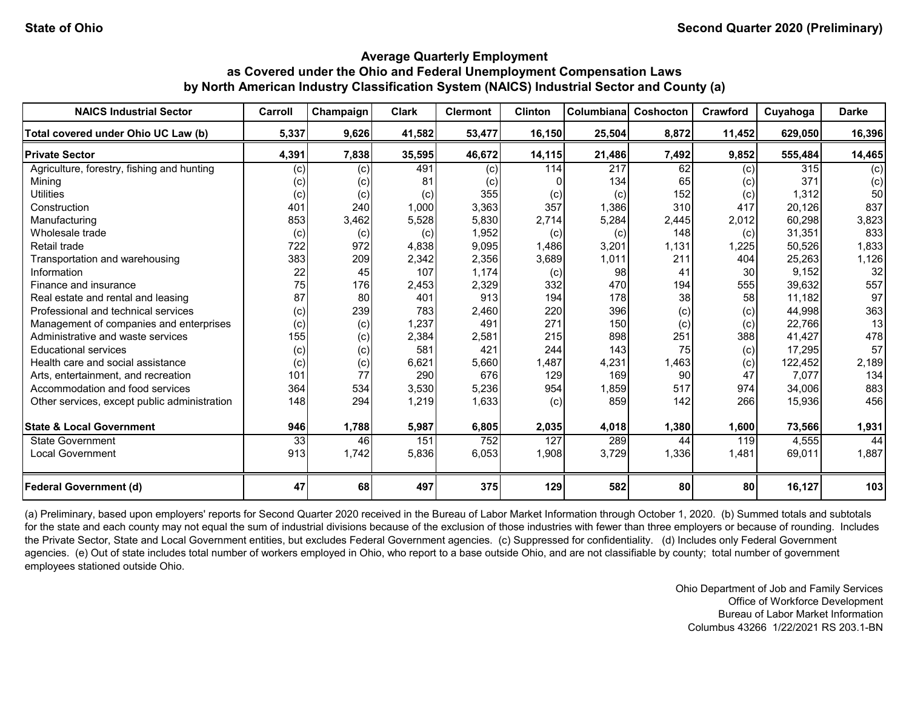| <b>NAICS Industrial Sector</b>               | Carroll | Champaign | <b>Clark</b> | <b>Clermont</b> | <b>Clinton</b> | Columbiana | Coshocton | Crawford | Cuyahoga | <b>Darke</b> |
|----------------------------------------------|---------|-----------|--------------|-----------------|----------------|------------|-----------|----------|----------|--------------|
| Total covered under Ohio UC Law (b)          | 5,337   | 9,626     | 41,582       | 53,477          | 16,150         | 25,504     | 8,872     | 11,452   | 629,050  | 16,396       |
| <b>Private Sector</b>                        | 4,391   | 7,838     | 35,595       | 46,672          | 14,115         | 21,486     | 7,492     | 9,852    | 555,484  | 14,465       |
| Agriculture, forestry, fishing and hunting   | (c)     | (c)       | 491          | (c)             | 114            | 217        | 62        | (c)      | 315      | (c)          |
| Minina                                       | (c)     | (c)       | 81           | (c)             |                | 134        | 65        | (c)      | 371      | (c)          |
| <b>Utilities</b>                             | (c)     | (c)       | (c)          | 355             | (c)            | (c)        | 152       | (c)      | 1,312    | 50           |
| Construction                                 | 401     | 240       | 1,000        | 3,363           | 357            | 1,386      | 310       | 417      | 20,126   | 837          |
| Manufacturing                                | 853     | 3,462     | 5,528        | 5,830           | 2,714          | 5,284      | 2,445     | 2,012    | 60,298   | 3,823        |
| Wholesale trade                              | (c)     | (c)       | (c)          | 1,952           | (c)            | (c)        | 148       | (c)      | 31,351   | 833          |
| Retail trade                                 | 722     | 972       | 4,838        | 9,095           | 1,486          | 3,201      | 1,131     | 1,225    | 50,526   | 1,833        |
| Transportation and warehousing               | 383     | 209       | 2,342        | 2,356           | 3,689          | 1,011      | 211       | 404      | 25,263   | 1,126        |
| Information                                  | 22      | 45        | 107          | 1,174           | (c)            | 98         | 41        | 30       | 9,152    | 32           |
| Finance and insurance                        | 75      | 176       | 2,453        | 2,329           | 332            | 470        | 194       | 555      | 39,632   | 557          |
| Real estate and rental and leasing           | 87      | 80        | 401          | 913             | 194            | 178        | 38        | 58       | 11,182   | 97           |
| Professional and technical services          | (c)     | 239       | 783          | 2,460           | 220            | 396        | (c)       | (c)      | 44,998   | 363          |
| Management of companies and enterprises      | (c)     | (c)       | 1,237        | 491             | 271            | 150        | (c)       | (c)      | 22,766   | 13           |
| Administrative and waste services            | 155     | (c)       | 2,384        | 2,581           | 215            | 898        | 251       | 388      | 41,427   | 478          |
| <b>Educational services</b>                  | (c)     | (c)       | 581          | 421             | 244            | 143        | 75        | (c)      | 17,295   | 57           |
| Health care and social assistance            | (c)     | (c)       | 6,621        | 5,660           | 1,487          | 4,231      | 1,463     | (c)      | 122,452  | 2,189        |
| Arts, entertainment, and recreation          | 101     | 77        | 290          | 676             | 129            | 169        | 90        | 47       | 7,077    | 134          |
| Accommodation and food services              | 364     | 534       | 3,530        | 5,236           | 954            | 1,859      | 517       | 974      | 34,006   | 883          |
| Other services, except public administration | 148     | 294       | 1,219        | 1,633           | (c)            | 859        | 142       | 266      | 15,936   | 456          |
| <b>State &amp; Local Government</b>          | 946     | 1,788     | 5,987        | 6,805           | 2,035          | 4,018      | 1,380     | 1,600    | 73,566   | 1,931        |
| <b>State Government</b>                      | 33      | 46        | 151          | 752             | 127            | 289        | 44        | 119      | 4,555    | 44           |
| <b>Local Government</b>                      | 913     | 1,742     | 5,836        | 6,053           | 1,908          | 3,729      | 1,336     | 1,481    | 69,011   | 1,887        |
| <b>Federal Government (d)</b>                | 47      | 68        | 497          | 375             | 129            | 582        | 80        | 80       | 16,127   | 103          |

(a) Preliminary, based upon employers' reports for Second Quarter 2020 received in the Bureau of Labor Market Information through October 1, 2020. (b) Summed totals and subtotals for the state and each county may not equal the sum of industrial divisions because of the exclusion of those industries with fewer than three employers or because of rounding. Includes the Private Sector, State and Local Government entities, but excludes Federal Government agencies. (c) Suppressed for confidentiality. (d) Includes only Federal Government agencies. (e) Out of state includes total number of workers employed in Ohio, who report to a base outside Ohio, and are not classifiable by county; total number of government employees stationed outside Ohio.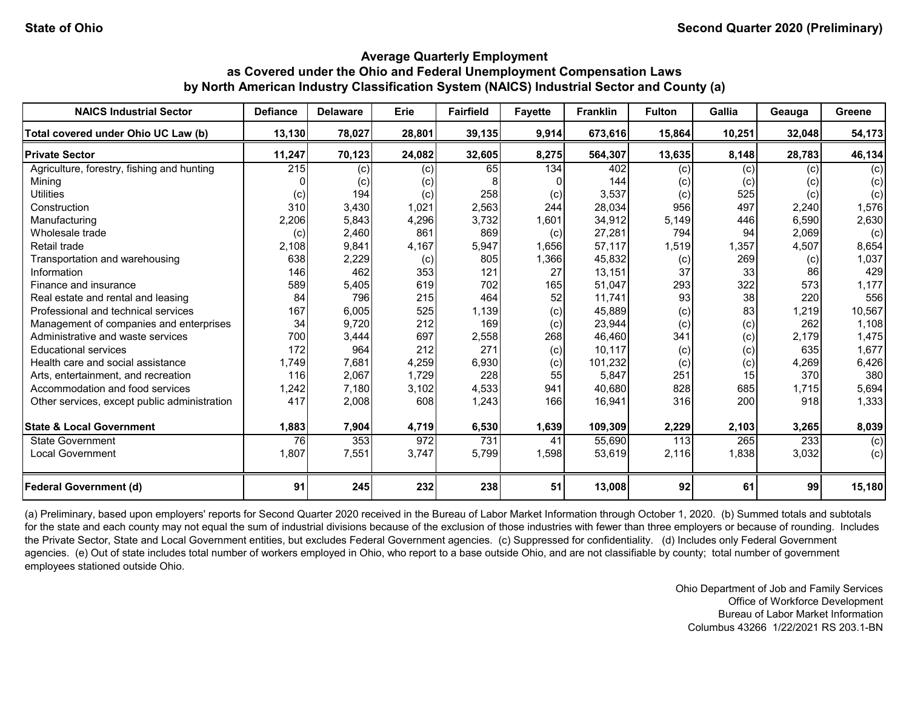| <b>NAICS Industrial Sector</b>               | <b>Defiance</b> | <b>Delaware</b> | Erie   | <b>Fairfield</b> | <b>Fayette</b> | <b>Franklin</b> | <b>Fulton</b> | Gallia | Geauga | Greene |
|----------------------------------------------|-----------------|-----------------|--------|------------------|----------------|-----------------|---------------|--------|--------|--------|
| Total covered under Ohio UC Law (b)          | 13,130          | 78,027          | 28,801 | 39,135           | 9,914          | 673,616         | 15,864        | 10,251 | 32,048 | 54,173 |
| <b>Private Sector</b>                        | 11,247          | 70,123          | 24,082 | 32,605           | 8,275          | 564,307         | 13,635        | 8,148  | 28,783 | 46,134 |
| Agriculture, forestry, fishing and hunting   | 215             | (c)             | (c)    | 65               | 134            | 402             | (c)           | (c)    | (c)    | (c)    |
| <b>Mining</b>                                |                 | (c)             | (c)    |                  |                | 144             | (c)           | (c)    | (c)    | (c)    |
| <b>Utilities</b>                             | (c)             | 194             | (c)    | 258              | (c)            | 3,537           | (c)           | 525    | (c)    | (c)    |
| Construction                                 | 310             | 3,430           | 1,021  | 2,563            | 244            | 28,034          | 956           | 497    | 2,240  | 1,576  |
| Manufacturing                                | 2,206           | 5,843           | 4,296  | 3,732            | 1,601          | 34,912          | 5,149         | 446    | 6.590  | 2,630  |
| Wholesale trade                              | (c)             | 2,460           | 861    | 869              | (c)            | 27,281          | 794           | 94     | 2,069  | (c)    |
| Retail trade                                 | 2,108           | 9,841           | 4,167  | 5,947            | 1,656          | 57,117          | 1,519         | 1,357  | 4,507  | 8,654  |
| Transportation and warehousing               | 638             | 2,229           | (c)    | 805              | 1,366          | 45,832          | (c)           | 269    | (c)    | 1,037  |
| Information                                  | 146             | 462             | 353    | 121              | 27             | 13,151          | 37            | 33     | 86     | 429    |
| Finance and insurance                        | 589             | 5,405           | 619    | 702              | 165            | 51,047          | 293           | 322    | 573    | 1,177  |
| Real estate and rental and leasing           | 84              | 796             | 215    | 464              | 52             | 11,741          | 93            | 38     | 220    | 556    |
| Professional and technical services          | 167             | 6,005           | 525    | 1,139            | (c)            | 45,889          | (c)           | 83     | 1,219  | 10,567 |
| Management of companies and enterprises      | 34              | 9,720           | 212    | 169              | (c)            | 23,944          | (c)           | (c)    | 262    | 1,108  |
| Administrative and waste services            | 700             | 3,444           | 697    | 2,558            | 268            | 46,460          | 341           | (c)    | 2,179  | 1,475  |
| <b>Educational services</b>                  | 172             | 964             | 212    | 271              | (c)            | 10,117          | (c)           | (c)    | 635    | 1,677  |
| Health care and social assistance            | 1,749           | 7,681           | 4,259  | 6,930            | (c)            | 101,232         | (c)           | (c)    | 4,269  | 6,426  |
| Arts, entertainment, and recreation          | 116             | 2,067           | 1,729  | 228              | 55             | 5,847           | 251           | 15     | 370    | 380    |
| Accommodation and food services              | 1,242           | 7,180           | 3,102  | 4,533            | 941            | 40,680          | 828           | 685    | 1,715  | 5,694  |
| Other services, except public administration | 417             | 2,008           | 608    | 1,243            | 166            | 16,941          | 316           | 200    | 918    | 1,333  |
| <b>State &amp; Local Government</b>          | 1,883           | 7,904           | 4,719  | 6,530            | 1,639          | 109,309         | 2,229         | 2,103  | 3,265  | 8,039  |
| <b>State Government</b>                      | 76              | 353             | 972    | 731              | 41             | 55,690          | 113           | 265    | 233    | (c)    |
| <b>Local Government</b>                      | 1,807           | 7,551           | 3,747  | 5,799            | 1,598          | 53,619          | 2,116         | 1,838  | 3,032  | (c)    |
| <b>Federal Government (d)</b>                | 91              | 245             | 232    | 238              | 51             | 13,008          | 92            | 61     | 99     | 15,180 |

(a) Preliminary, based upon employers' reports for Second Quarter 2020 received in the Bureau of Labor Market Information through October 1, 2020. (b) Summed totals and subtotals for the state and each county may not equal the sum of industrial divisions because of the exclusion of those industries with fewer than three employers or because of rounding. Includes the Private Sector, State and Local Government entities, but excludes Federal Government agencies. (c) Suppressed for confidentiality. (d) Includes only Federal Government agencies. (e) Out of state includes total number of workers employed in Ohio, who report to a base outside Ohio, and are not classifiable by county; total number of government employees stationed outside Ohio.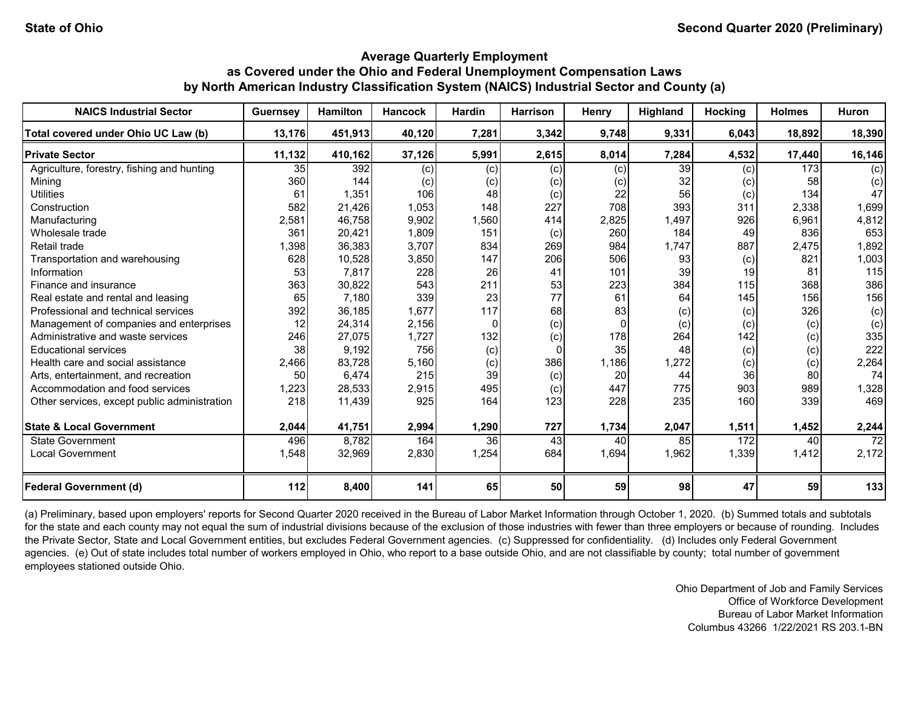| <b>NAICS Industrial Sector</b>               | <b>Guernsey</b> | <b>Hamilton</b> | <b>Hancock</b> | <b>Hardin</b> | <b>Harrison</b> | Henry    | Highland        | Hocking | <b>Holmes</b> | <b>Huron</b> |
|----------------------------------------------|-----------------|-----------------|----------------|---------------|-----------------|----------|-----------------|---------|---------------|--------------|
| Total covered under Ohio UC Law (b)          | 13,176          | 451,913         | 40,120         | 7,281         | 3,342           | 9,748    | 9,331           | 6,043   | 18,892        | 18,390       |
| <b>Private Sector</b>                        | 11,132          | 410,162         | 37,126         | 5,991         | 2,615           | 8,014    | 7,284           | 4,532   | 17,440        | 16,146       |
| Agriculture, forestry, fishing and hunting   | 35              | 392             | (c)            | (c)           | (c)             | (c)      | $\overline{39}$ | (c)     | 173           | (c)          |
| Mining                                       | 360             | 144             | (c)            | (c)           | (c)             | (c)      | 32              | (c)     | 58            | (c)          |
| <b>Utilities</b>                             | 61              | 1,351           | 106            | 48            | (c)             | 22       | 56              | (c)     | 134           | 47           |
| Construction                                 | 582             | 21,426          | 1,053          | 148           | 227             | 708      | 393             | 311     | 2,338         | 1,699        |
| Manufacturing                                | 2,581           | 46,758          | 9,902          | 1,560         | 414             | 2,825    | 1,497           | 926     | 6,961         | 4,812        |
| Wholesale trade                              | 361             | 20,421          | 1,809          | 151           | (c)             | 260      | 184             | 49      | 836           | 653          |
| Retail trade                                 | 1,398           | 36,383          | 3,707          | 834           | 269             | 984      | 1,747           | 887     | 2,475         | 1,892        |
| Transportation and warehousing               | 628             | 10,528          | 3,850          | 147           | 206             | 506      | 93              | (c)     | 821           | 1,003        |
| Information                                  | 53              | 7,817           | 228            | 26            | 41              | 101      | 39              | 19      | 81            | 115          |
| Finance and insurance                        | 363             | 30,822          | 543            | 211           | 53              | 223      | 384             | 115     | 368           | 386          |
| Real estate and rental and leasing           | 65              | 7,180           | 339            | 23            | 77              | 61       | 64              | 145     | 156           | 156          |
| Professional and technical services          | 392             | 36,185          | 1,677          | 117           | 68              | 83       | (c)             | (c)     | 326           | (c)          |
| Management of companies and enterprises      | 12              | 24,314          | 2,156          | $\Omega$      | (c)             | $\Omega$ | (c)             | (c)     | (c)           | (c)          |
| Administrative and waste services            | 246             | 27,075          | 1,727          | 132           | (c)             | 178      | 264             | 142     | (c)           | 335          |
| <b>Educational services</b>                  | 38              | 9,192           | 756            | (c)           | 0               | 35       | 48              | (c)     | (c)           | 222          |
| Health care and social assistance            | 2,466           | 83,728          | 5,160          | (c)           | 386             | 1,186    | 1,272           | (c)     | (c)           | 2,264        |
| Arts, entertainment, and recreation          | 50              | 6,474           | 215            | 39            | (c)             | 20       | 44              | 36      | 80            | 74           |
| Accommodation and food services              | 1,223           | 28,533          | 2,915          | 495           | (c)             | 447      | 775             | 903     | 989           | 1,328        |
| Other services, except public administration | 218             | 11,439          | 925            | 164           | 123             | 228      | 235             | 160     | 339           | 469          |
| <b>State &amp; Local Government</b>          | 2,044           | 41,751          | 2,994          | 1,290         | 727             | 1,734    | 2,047           | 1,511   | 1,452         | 2,244        |
| State Government                             | 496             | 8,782           | 164            | 36            | 43              | 40       | 85              | 172     | 40            | 72           |
| <b>Local Government</b>                      | 1,548           | 32,969          | 2,830          | 1,254         | 684             | 1,694    | 1,962           | 1,339   | 1,412         | 2,172        |
| <b>Federal Government (d)</b>                | 112             | 8,400           | 141            | 65            | 50              | 59       | 98              | 47      | 59            | 133          |

(a) Preliminary, based upon employers' reports for Second Quarter 2020 received in the Bureau of Labor Market Information through October 1, 2020. (b) Summed totals and subtotals for the state and each county may not equal the sum of industrial divisions because of the exclusion of those industries with fewer than three employers or because of rounding. Includes the Private Sector, State and Local Government entities, but excludes Federal Government agencies. (c) Suppressed for confidentiality. (d) Includes only Federal Government agencies. (e) Out of state includes total number of workers employed in Ohio, who report to a base outside Ohio, and are not classifiable by county; total number of government employees stationed outside Ohio.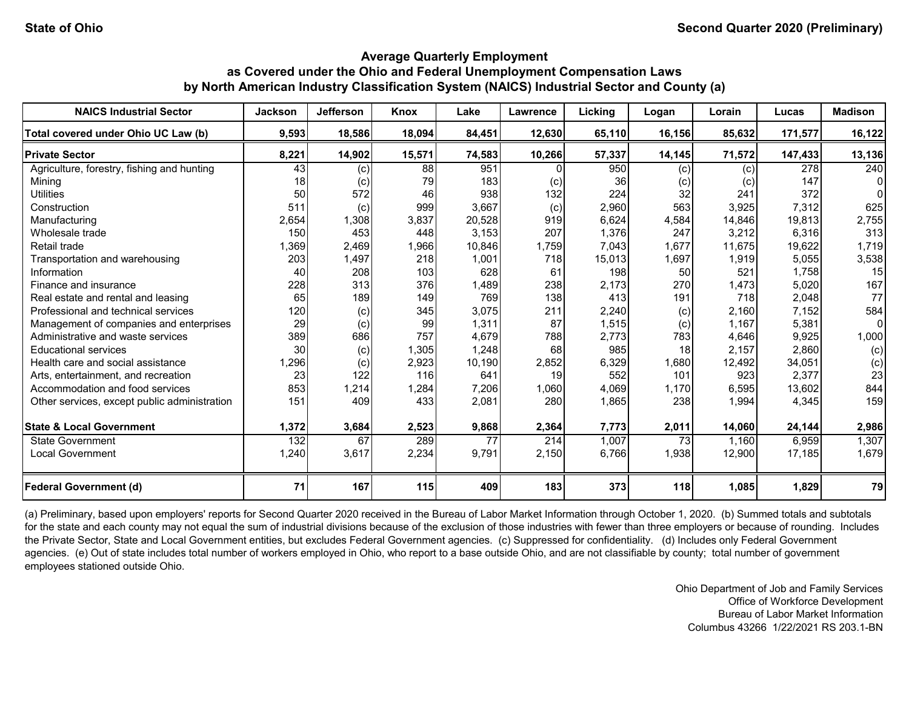| <b>NAICS Industrial Sector</b>               | <b>Jackson</b> | <b>Jefferson</b> | Knox   | Lake   | Lawrence | Licking | Logan  | Lorain | Lucas   | <b>Madison</b> |
|----------------------------------------------|----------------|------------------|--------|--------|----------|---------|--------|--------|---------|----------------|
| Total covered under Ohio UC Law (b)          | 9,593          | 18,586           | 18,094 | 84,451 | 12,630   | 65,110  | 16,156 | 85,632 | 171,577 | 16,122         |
| <b>Private Sector</b>                        | 8,221          | 14,902           | 15,571 | 74,583 | 10,266   | 57,337  | 14,145 | 71,572 | 147,433 | 13,136         |
| Agriculture, forestry, fishing and hunting   | 43             | (c)              | 88     | 951    |          | 950     | (c)    | (c)    | 278     | 240            |
| Mining                                       | 18             | (c)              | 79     | 183    | (c)      | 36      | (c)    | (c)    | 147     |                |
| <b>Utilities</b>                             | 50             | 572              | 46     | 938    | 132      | 224     | 32     | 241    | 372     |                |
| Construction                                 | 511            | (c)              | 999    | 3,667  | (c)      | 2,960   | 563    | 3,925  | 7,312   | 625            |
| Manufacturing                                | 2,654          | 1,308            | 3,837  | 20,528 | 919      | 6,624   | 4,584  | 14,846 | 19.813  | 2,755          |
| Wholesale trade                              | 150            | 453              | 448    | 3,153  | 207      | 1,376   | 247    | 3,212  | 6,316   | 313            |
| Retail trade                                 | 1,369          | 2,469            | 1,966  | 10,846 | 1,759    | 7,043   | 1,677  | 11,675 | 19,622  | 1,719          |
| Transportation and warehousing               | 203            | 1,497            | 218    | 1,001  | 718      | 15,013  | 1,697  | 1,919  | 5,055   | 3,538          |
| Information                                  | 40             | 208              | 103    | 628    | 61       | 198     | 50     | 521    | 1,758   | 15             |
| Finance and insurance                        | 228            | 313              | 376    | 1,489  | 238      | 2,173   | 270    | 1,473  | 5,020   | 167            |
| Real estate and rental and leasing           | 65             | 189              | 149    | 769    | 138      | 413     | 191    | 718    | 2,048   | 77             |
| Professional and technical services          | 120            | (c)              | 345    | 3,075  | 211      | 2,240   | (c)    | 2,160  | 7,152   | 584            |
| Management of companies and enterprises      | 29             | (c)              | 99     | 1,311  | 87       | 1,515   | (c)    | 1,167  | 5,381   | 0              |
| Administrative and waste services            | 389            | 686              | 757    | 4,679  | 788      | 2,773   | 783    | 4,646  | 9,925   | 1,000          |
| <b>Educational services</b>                  | 30             | (c)              | 1,305  | 1,248  | 68       | 985     | 18     | 2,157  | 2,860   | (c)            |
| Health care and social assistance            | 1,296          | (c)              | 2,923  | 10,190 | 2,852    | 6,329   | 1,680  | 12,492 | 34,051  | (c)            |
| Arts, entertainment, and recreation          | 23             | 122              | 116    | 641    | 19       | 552     | 101    | 923    | 2,377   | 23             |
| Accommodation and food services              | 853            | 1,214            | 1,284  | 7,206  | 1,060    | 4,069   | 1,170  | 6,595  | 13,602  | 844            |
| Other services, except public administration | 151            | 409              | 433    | 2,081  | 280      | 1,865   | 238    | 1,994  | 4,345   | 159            |
| <b>State &amp; Local Government</b>          | 1,372          | 3,684            | 2,523  | 9,868  | 2,364    | 7,773   | 2,011  | 14,060 | 24,144  | 2,986          |
| State Government                             | 132            | 67               | 289    | 77     | 214      | 1,007   | 73     | 1,160  | 6,959   | 1,307          |
| <b>Local Government</b>                      | 1,240          | 3,617            | 2,234  | 9,791  | 2,150    | 6.766   | 1,938  | 12,900 | 17,185  | 1,679          |
| <b>Federal Government (d)</b>                | 71             | 167              | 115    | 409    | 183      | 373     | 118    | 1,085  | 1,829   | 79             |

(a) Preliminary, based upon employers' reports for Second Quarter 2020 received in the Bureau of Labor Market Information through October 1, 2020. (b) Summed totals and subtotals for the state and each county may not equal the sum of industrial divisions because of the exclusion of those industries with fewer than three employers or because of rounding. Includes the Private Sector, State and Local Government entities, but excludes Federal Government agencies. (c) Suppressed for confidentiality. (d) Includes only Federal Government agencies. (e) Out of state includes total number of workers employed in Ohio, who report to a base outside Ohio, and are not classifiable by county; total number of government employees stationed outside Ohio.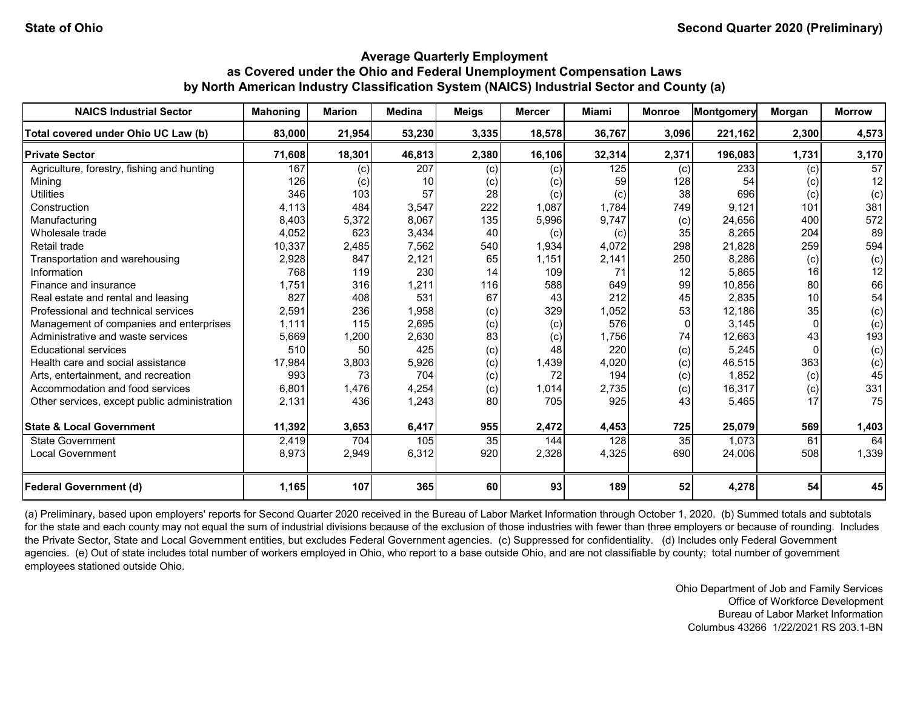| <b>NAICS Industrial Sector</b>               | <b>Mahoning</b> | <b>Marion</b> | <b>Medina</b>   | <b>Meigs</b> | <b>Mercer</b> | Miami            | <b>Monroe</b> | Montgomery | Morgan | <b>Morrow</b>   |
|----------------------------------------------|-----------------|---------------|-----------------|--------------|---------------|------------------|---------------|------------|--------|-----------------|
| Total covered under Ohio UC Law (b)          | 83,000          | 21,954        | 53,230          | 3,335        | 18,578        | 36,767           | 3,096         | 221,162    | 2,300  | 4,573           |
| <b>Private Sector</b>                        | 71,608          | 18,301        | 46,813          | 2,380        | 16,106        | 32,314           | 2,371         | 196,083    | 1,731  | 3,170           |
| Agriculture, forestry, fishing and hunting   | 167             | (c)           | 207             | (c)          | (c)           | $\overline{125}$ | (c)           | 233        | (c)    | $\overline{57}$ |
| Minina                                       | 126             | (c)           | 10 <sup>1</sup> | (c)          | (c)           | 59               | 128           | 54         | (c)    | 12              |
| <b>Utilities</b>                             | 346             | 103           | 57              | 28           | (c)           | (c)              | 38            | 696        | (c)    | (c)             |
| Construction                                 | 4,113           | 484           | 3,547           | 222          | 1,087         | 1,784            | 749           | 9,121      | 101    | 381             |
| Manufacturing                                | 8,403           | 5,372         | 8,067           | 135          | 5,996         | 9,747            | (c)           | 24,656     | 400    | 572             |
| Wholesale trade                              | 4,052           | 623           | 3,434           | 40           | (c)           | (c)              | 35            | 8,265      | 204    | 89              |
| Retail trade                                 | 10,337          | 2,485         | 7,562           | 540          | 1,934         | 4,072            | 298           | 21,828     | 259    | 594             |
| Transportation and warehousing               | 2,928           | 847           | 2,121           | 65           | 1,151         | 2,141            | 250           | 8,286      | (c)    | (c)             |
| Information                                  | 768             | 119           | 230             | 14           | 109           | 71               | 12            | 5,865      | 16     | 12              |
| Finance and insurance                        | 1,751           | 316           | 1,211           | 116          | 588           | 649              | 99            | 10,856     | 80     | 66              |
| Real estate and rental and leasing           | 827             | 408           | 531             | 67           | 43            | 212              | 45            | 2,835      | 10     | 54              |
| Professional and technical services          | 2,591           | 236           | 1,958           | (c)          | 329           | 1,052            | 53            | 12,186     | 35     | (c)             |
| Management of companies and enterprises      | 1,111           | 115           | 2,695           | (c)          | (c)           | 576              | $\Omega$      | 3,145      |        | (c)             |
| Administrative and waste services            | 5,669           | 1,200         | 2,630           | 83           | (c)           | 1,756            | 74            | 12,663     | 43     | 193             |
| <b>Educational services</b>                  | 510             | 50            | 425             | (c)          | 48            | 220              | (c)           | 5,245      |        | (c)             |
| Health care and social assistance            | 17,984          | 3,803         | 5,926           | (c)          | 1,439         | 4,020            | (c)           | 46,515     | 363    | (c)             |
| Arts, entertainment, and recreation          | 993             | 73            | 704             | (c)          | 72            | 194              | (c)           | 1,852      | (c)    | 45              |
| Accommodation and food services              | 6,801           | 1,476         | 4,254           | (c)          | 1,014         | 2,735            | (c)           | 16,317     | (c)    | 331             |
| Other services, except public administration | 2,131           | 436           | 1,243           | 80           | 705           | 925              | 43            | 5,465      | 17     | 75              |
| <b>State &amp; Local Government</b>          | 11,392          | 3,653         | 6,417           | 955          | 2,472         | 4,453            | 725           | 25,079     | 569    | 1,403           |
| State Government                             | 2,419           | 704           | 105             | 35           | 144           | 128              | 35            | 1,073      | 61     | 64              |
| <b>Local Government</b>                      | 8,973           | 2,949         | 6,312           | 920          | 2,328         | 4,325            | 690           | 24,006     | 508    | 1,339           |
| <b>Federal Government (d)</b>                | 1,165           | 107           | 365             | 60           | 93            | 189              | 52            | 4,278      | 54     | 45              |

(a) Preliminary, based upon employers' reports for Second Quarter 2020 received in the Bureau of Labor Market Information through October 1, 2020. (b) Summed totals and subtotals for the state and each county may not equal the sum of industrial divisions because of the exclusion of those industries with fewer than three employers or because of rounding. Includes the Private Sector, State and Local Government entities, but excludes Federal Government agencies. (c) Suppressed for confidentiality. (d) Includes only Federal Government agencies. (e) Out of state includes total number of workers employed in Ohio, who report to a base outside Ohio, and are not classifiable by county; total number of government employees stationed outside Ohio.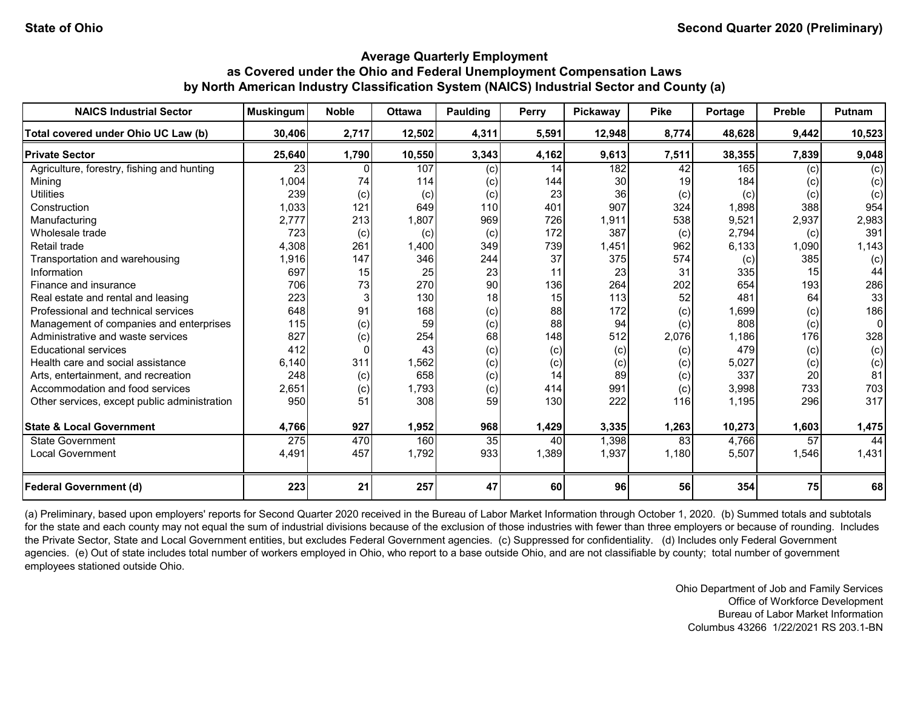| <b>NAICS Industrial Sector</b>               | <b>Muskingum</b> | <b>Noble</b> | <b>Ottawa</b> | Paulding | <b>Perry</b> | Pickaway | <b>Pike</b>     | Portage | <b>Preble</b>   | <b>Putnam</b> |
|----------------------------------------------|------------------|--------------|---------------|----------|--------------|----------|-----------------|---------|-----------------|---------------|
| Total covered under Ohio UC Law (b)          | 30,406           | 2,717        | 12,502        | 4,311    | 5,591        | 12,948   | 8,774           | 48,628  | 9,442           | 10,523        |
| <b>Private Sector</b>                        | 25,640           | 1,790        | 10,550        | 3,343    | 4,162        | 9,613    | 7,511           | 38,355  | 7,839           | 9,048         |
| Agriculture, forestry, fishing and hunting   | 23               |              | 107           | (c)      | 14           | 182      | $\overline{42}$ | 165     | (c)             | (c)           |
| Mining                                       | 1,004            | 74           | 114           | (c)      | 144          | 30       | 19              | 184     | (c)             | (c)           |
| <b>Utilities</b>                             | 239              | (c)          | (c)           | (c)      | 23           | 36       | (c)             | (c)     | (c)             | (c)           |
| Construction                                 | 1,033            | 121          | 649           | 110      | 401          | 907      | 324             | 1,898   | 388             | 954           |
| Manufacturing                                | 2,777            | 213          | 1,807         | 969      | 726          | 1,911    | 538             | 9,521   | 2,937           | 2,983         |
| Wholesale trade                              | 723              | (c)          | (c)           | (c)      | 172          | 387      | (c)             | 2,794   | (c)             | 391           |
| Retail trade                                 | 4,308            | 261          | 1,400         | 349      | 739          | 1,451    | 962             | 6,133   | 1,090           | 1,143         |
| Transportation and warehousing               | 1,916            | 147          | 346           | 244      | 37           | 375      | 574             | (c)     | 385             | (c)           |
| Information                                  | 697              | 15           | 25            | 23       | 11           | 23       | 31              | 335     | 15              | 44            |
| Finance and insurance                        | 706              | 73           | 270           | 90       | 136          | 264      | 202             | 654     | 193             | 286           |
| Real estate and rental and leasing           | 223              |              | 130           | 18       | 15           | 113      | 52              | 481     | 64              | 33            |
| Professional and technical services          | 648              | 91           | 168           | (c)      | 88           | 172      | (c)             | 1,699   | (c)             | 186           |
| Management of companies and enterprises      | 115              | (c)          | 59            | (c)      | 88           | 94       | (c)             | 808     | (c)             | 0             |
| Administrative and waste services            | 827              | (c)          | 254           | 68       | 148          | 512      | 2,076           | 1,186   | 176             | 328           |
| <b>Educational services</b>                  | 412              | 0            | 43            | (c)      | (c)          | (c)      | (c)             | 479     | (c)             | (c)           |
| Health care and social assistance            | 6.140            | 311          | 1,562         | (c)      | (c)          | (c)      | (c)             | 5,027   | (c)             | (c)           |
| Arts, entertainment, and recreation          | 248              | (c)          | 658           | (c)      | 14           | 89       | (c)             | 337     | 20              | 81            |
| Accommodation and food services              | 2,651            | (c)          | 1,793         | (c)      | 414          | 991      | (c)             | 3,998   | 733             | 703           |
| Other services, except public administration | 950              | 51           | 308           | 59       | 130          | 222      | 116             | 1,195   | 296             | 317           |
| <b>State &amp; Local Government</b>          | 4,766            | 927          | 1,952         | 968      | 1,429        | 3,335    | 1,263           | 10,273  | 1,603           | 1,475         |
| State Government                             | 275              | 470          | 160           | 35       | 40           | 1,398    | 83              | 4,766   | $\overline{57}$ | 44            |
| <b>Local Government</b>                      | 4,491            | 457          | 1,792         | 933      | 1,389        | 1,937    | 1,180           | 5,507   | 1,546           | 1,431         |
| <b>Federal Government (d)</b>                | 223              | 21           | 257           | 47       | 60           | 96       | 56              | 354     | 75              | 68            |

(a) Preliminary, based upon employers' reports for Second Quarter 2020 received in the Bureau of Labor Market Information through October 1, 2020. (b) Summed totals and subtotals for the state and each county may not equal the sum of industrial divisions because of the exclusion of those industries with fewer than three employers or because of rounding. Includes the Private Sector, State and Local Government entities, but excludes Federal Government agencies. (c) Suppressed for confidentiality. (d) Includes only Federal Government agencies. (e) Out of state includes total number of workers employed in Ohio, who report to a base outside Ohio, and are not classifiable by county; total number of government employees stationed outside Ohio.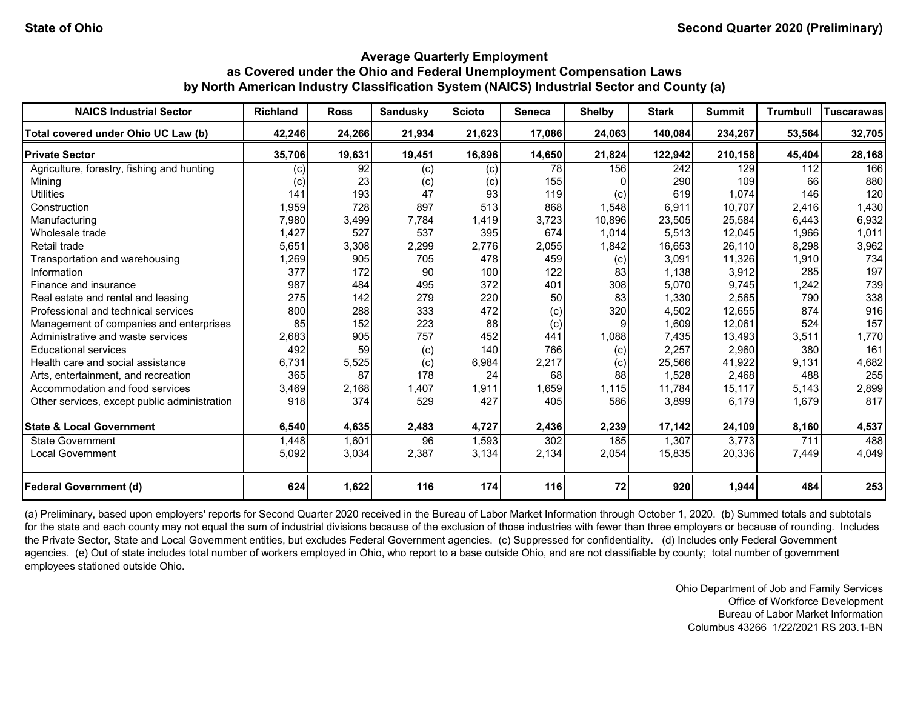| <b>NAICS Industrial Sector</b>               | <b>Richland</b> | <b>Ross</b> | <b>Sandusky</b> | <b>Scioto</b> | <b>Seneca</b> | <b>Shelby</b> | <b>Stark</b> | <b>Summit</b> | <b>Trumbull</b> | <b>Tuscarawas</b> |
|----------------------------------------------|-----------------|-------------|-----------------|---------------|---------------|---------------|--------------|---------------|-----------------|-------------------|
| Total covered under Ohio UC Law (b)          | 42,246          | 24,266      | 21,934          | 21,623        | 17,086        | 24,063        | 140,084      | 234,267       | 53,564          | 32,705            |
| <b>Private Sector</b>                        | 35,706          | 19,631      | 19,451          | 16,896        | 14,650        | 21,824        | 122,942      | 210,158       | 45,404          | 28,168            |
| Agriculture, forestry, fishing and hunting   | (c)             | 92          | (c)             | (c)           | 78            | 156           | 242          | 129           | 112             | 166               |
| Minina                                       | $\left( $       | 23          | (c)             | (c)           | 155           |               | 290          | 109           | 66              | 880               |
| <b>Utilities</b>                             | 141             | 193         | 47              | 93            | 119           | (c)           | 619          | 1,074         | 146             | 120               |
| Construction                                 | 1,959           | 728         | 897             | 513           | 868           | 1,548         | 6,911        | 10,707        | 2,416           | 1,430             |
| Manufacturing                                | 7,980           | 3,499       | 7,784           | 1,419         | 3,723         | 10,896        | 23,505       | 25,584        | 6,443           | 6,932             |
| Wholesale trade                              | 1,427           | 527         | 537             | 395           | 674           | 1,014         | 5,513        | 12,045        | 1,966           | 1,011             |
| Retail trade                                 | 5,651           | 3,308       | 2,299           | 2,776         | 2,055         | 1,842         | 16,653       | 26,110        | 8,298           | 3,962             |
| Transportation and warehousing               | 1,269           | 905         | 705             | 478           | 459           | (c)           | 3,091        | 11,326        | 1,910           | 734               |
| Information                                  | 377             | 172         | 90              | 100           | 122           | 83            | 1,138        | 3,912         | 285             | 197               |
| Finance and insurance                        | 987             | 484         | 495             | 372           | 401           | 308           | 5,070        | 9,745         | 1,242           | 739               |
| Real estate and rental and leasing           | 275             | 142         | 279             | 220           | 50            | 83            | 1,330        | 2,565         | 790             | 338               |
| Professional and technical services          | 800             | 288         | 333             | 472           | (c)           | 320           | 4,502        | 12,655        | 874             | 916               |
| Management of companies and enterprises      | 85              | 152         | 223             | 88            | (c)           | g             | 1,609        | 12,061        | 524             | 157               |
| Administrative and waste services            | 2,683           | 905         | 757             | 452           | 441           | 1,088         | 7,435        | 13,493        | 3,511           | 1,770             |
| <b>Educational services</b>                  | 492             | 59          | (c)             | 140           | 766           | (c)           | 2,257        | 2,960         | 380             | 161               |
| Health care and social assistance            | 6,731           | 5,525       | (c)             | 6,984         | 2,217         | (c)           | 25,566       | 41,922        | 9,131           | 4,682             |
| Arts, entertainment, and recreation          | 365             | 87          | 178             | 24            | 68            | 88            | 1,528        | 2,468         | 488             | 255               |
| Accommodation and food services              | 3,469           | 2,168       | 1,407           | 1,911         | 1,659         | 1,115         | 11,784       | 15,117        | 5,143           | 2,899             |
| Other services, except public administration | 918             | 374         | 529             | 427           | 405           | 586           | 3,899        | 6,179         | 1,679           | 817               |
| <b>State &amp; Local Government</b>          | 6,540           | 4,635       | 2,483           | 4,727         | 2,436         | 2,239         | 17,142       | 24,109        | 8,160           | 4,537             |
| <b>State Government</b>                      | 1,448           | 1,601       | 96              | 1,593         | 302           | 185           | 1,307        | 3,773         | 711             | 488               |
| <b>Local Government</b>                      | 5,092           | 3,034       | 2,387           | 3,134         | 2,134         | 2,054         | 15,835       | 20,336        | 7,449           | 4,049             |
| <b>Federal Government (d)</b>                | 624             | 1,622       | <b>116</b>      | 174           | 116           | 72            | 920          | 1,944         | 484             | 253               |

(a) Preliminary, based upon employers' reports for Second Quarter 2020 received in the Bureau of Labor Market Information through October 1, 2020. (b) Summed totals and subtotals for the state and each county may not equal the sum of industrial divisions because of the exclusion of those industries with fewer than three employers or because of rounding. Includes the Private Sector, State and Local Government entities, but excludes Federal Government agencies. (c) Suppressed for confidentiality. (d) Includes only Federal Government agencies. (e) Out of state includes total number of workers employed in Ohio, who report to a base outside Ohio, and are not classifiable by county; total number of government employees stationed outside Ohio.